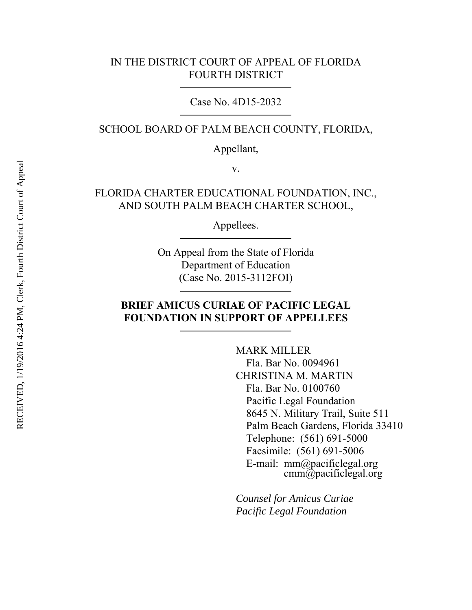### IN THE DISTRICT COURT OF APPEAL OF FLORIDA FOURTH DISTRICT

Case No. 4D15-2032

SCHOOL BOARD OF PALM BEACH COUNTY, FLORIDA,

Appellant,

v.

FLORIDA CHARTER EDUCATIONAL FOUNDATION, INC., AND SOUTH PALM BEACH CHARTER SCHOOL,

Appellees.

On Appeal from the State of Florida Department of Education (Case No. 2015-3112FOI)

### **BRIEF AMICUS CURIAE OF PACIFIC LEGAL FOUNDATION IN SUPPORT OF APPELLEES**

MARK MILLER Fla. Bar No. 0094961 CHRISTINA M. MARTIN Fla. Bar No. 0100760 Pacific Legal Foundation 8645 N. Military Trail, Suite 511 Palm Beach Gardens, Florida 33410 Telephone: (561) 691-5000 Facsimile: (561) 691-5006 E-mail: mm@pacificlegal.org cmm@pacificlegal.org

*Counsel for Amicus Curiae Pacific Legal Foundation*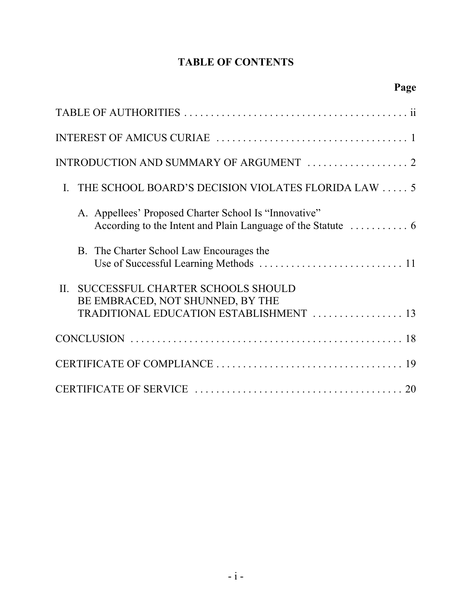# **TABLE OF CONTENTS**

| INTRODUCTION AND SUMMARY OF ARGUMENT  2                                                                                    |
|----------------------------------------------------------------------------------------------------------------------------|
| THE SCHOOL BOARD'S DECISION VIOLATES FLORIDA LAW  5<br>$\mathbf{I}$ .                                                      |
| A. Appellees' Proposed Charter School Is "Innovative"                                                                      |
| B. The Charter School Law Encourages the                                                                                   |
| SUCCESSFUL CHARTER SCHOOLS SHOULD<br>$II$ .<br>BE EMBRACED, NOT SHUNNED, BY THE<br>TRADITIONAL EDUCATION ESTABLISHMENT  13 |
|                                                                                                                            |
|                                                                                                                            |
|                                                                                                                            |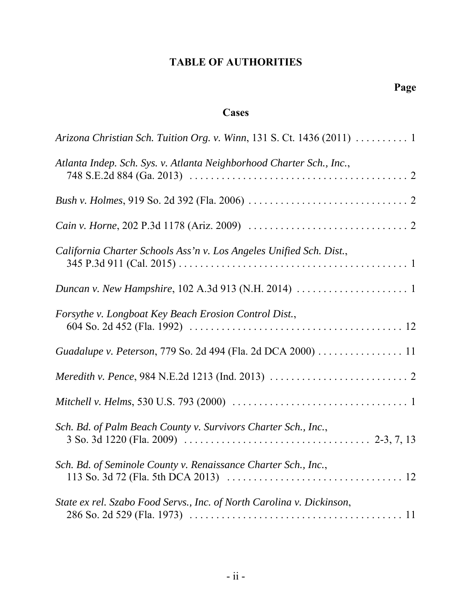# **TABLE OF AUTHORITIES**

# **Cases**

| Arizona Christian Sch. Tuition Org. v. Winn, 131 S. Ct. 1436 (2011)  1                                                       |
|------------------------------------------------------------------------------------------------------------------------------|
| Atlanta Indep. Sch. Sys. v. Atlanta Neighborhood Charter Sch., Inc.,                                                         |
|                                                                                                                              |
|                                                                                                                              |
| California Charter Schools Ass'n v. Los Angeles Unified Sch. Dist.,                                                          |
|                                                                                                                              |
| Forsythe v. Longboat Key Beach Erosion Control Dist.,                                                                        |
| Guadalupe v. Peterson, 779 So. 2d 494 (Fla. 2d DCA 2000) 11                                                                  |
|                                                                                                                              |
| Mitchell v. Helms, 530 U.S. 793 (2000) $\ldots \ldots \ldots \ldots \ldots \ldots \ldots \ldots \ldots \ldots \ldots \ldots$ |
| Sch. Bd. of Palm Beach County v. Survivors Charter Sch., Inc.,                                                               |
| Sch. Bd. of Seminole County v. Renaissance Charter Sch., Inc.,                                                               |
| State ex rel. Szabo Food Servs., Inc. of North Carolina v. Dickinson,                                                        |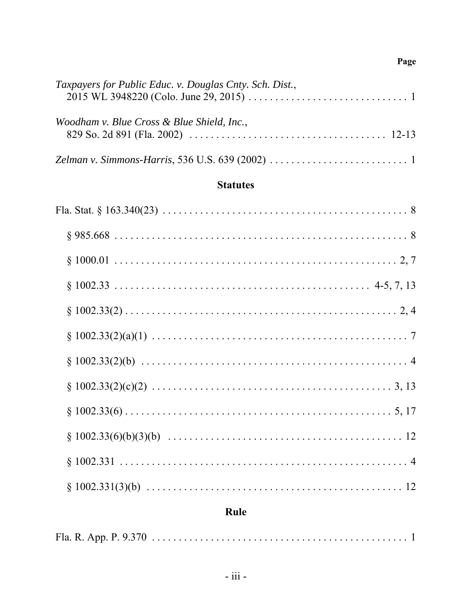## Page

| Taxpayers for Public Educ. v. Douglas Cnty. Sch. Dist., |
|---------------------------------------------------------|
| Woodham v. Blue Cross & Blue Shield, Inc.,              |
|                                                         |

# **Statutes**

| $§ 1002.331            4$ |
|---------------------------|
|                           |

# Rule

|--|--|--|--|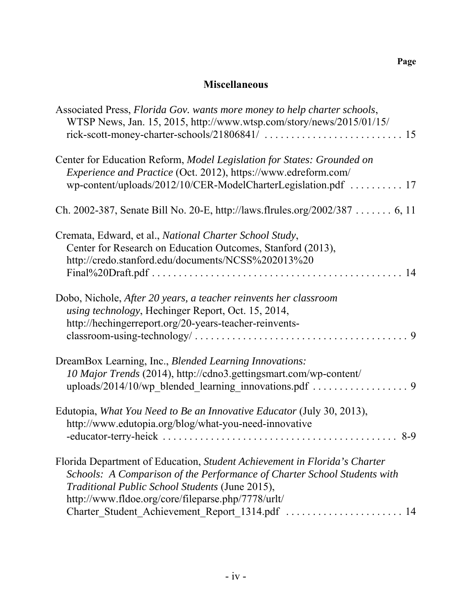## **Miscellaneous**

| Associated Press, Florida Gov. wants more money to help charter schools,<br>WTSP News, Jan. 15, 2015, http://www.wtsp.com/story/news/2015/01/15/ |
|--------------------------------------------------------------------------------------------------------------------------------------------------|
| Center for Education Reform, Model Legislation for States: Grounded on<br>Experience and Practice (Oct. 2012), https://www.edreform.com/         |
| wp-content/uploads/2012/10/CER-ModelCharterLegislation.pdf  17                                                                                   |
| Ch. 2002-387, Senate Bill No. 20-E, http://laws.flrules.org/2002/387  6, 11                                                                      |
| Cremata, Edward, et al., National Charter School Study,                                                                                          |
| Center for Research on Education Outcomes, Stanford (2013),                                                                                      |
| http://credo.stanford.edu/documents/NCSS%202013%20                                                                                               |
| 14                                                                                                                                               |
| Dobo, Nichole, After 20 years, a teacher reinvents her classroom                                                                                 |
| using technology, Hechinger Report, Oct. 15, 2014,                                                                                               |
| http://hechingerreport.org/20-years-teacher-reinvents-                                                                                           |
|                                                                                                                                                  |
| DreamBox Learning, Inc., Blended Learning Innovations:                                                                                           |
| 10 Major Trends (2014), http://cdno3.gettingsmart.com/wp-content/                                                                                |
| uploads/2014/10/wp_blended_learning_innovations.pdf  9                                                                                           |
| Edutopia, What You Need to Be an Innovative Educator (July 30, 2013),                                                                            |
| http://www.edutopia.org/blog/what-you-need-innovative                                                                                            |
| $8-9$                                                                                                                                            |
| Florida Department of Education, Student Achievement in Florida's Charter                                                                        |
| Schools: A Comparison of the Performance of Charter School Students with                                                                         |
| Traditional Public School Students (June 2015),                                                                                                  |
| http://www.fldoe.org/core/fileparse.php/7778/urlt/                                                                                               |
| Charter_Student_Achievement_Report_1314.pdf  14                                                                                                  |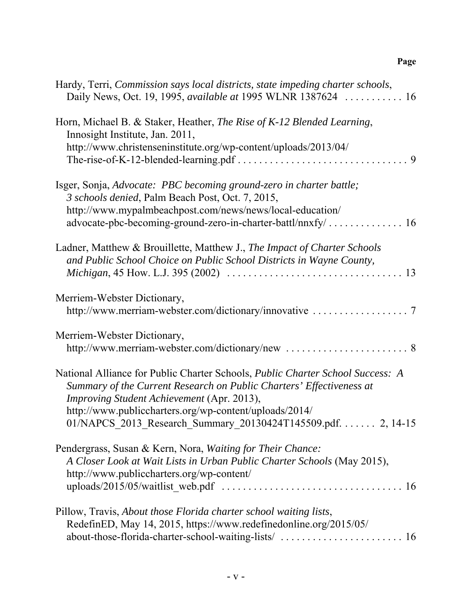## **Page**

| Hardy, Terri, Commission says local districts, state impeding charter schools,<br>Daily News, Oct. 19, 1995, available at 1995 WLNR 1387624  16                                                                                                                                                                                |
|--------------------------------------------------------------------------------------------------------------------------------------------------------------------------------------------------------------------------------------------------------------------------------------------------------------------------------|
| Horn, Michael B. & Staker, Heather, The Rise of K-12 Blended Learning,<br>Innosight Institute, Jan. 2011,<br>http://www.christenseninstitute.org/wp-content/uploads/2013/04/                                                                                                                                                   |
| Isger, Sonja, Advocate: PBC becoming ground-zero in charter battle;<br>3 schools denied, Palm Beach Post, Oct. 7, 2015,<br>http://www.mypalmbeachpost.com/news/news/local-education/                                                                                                                                           |
| Ladner, Matthew & Brouillette, Matthew J., The Impact of Charter Schools<br>and Public School Choice on Public School Districts in Wayne County,                                                                                                                                                                               |
| Merriem-Webster Dictionary,                                                                                                                                                                                                                                                                                                    |
| Merriem-Webster Dictionary,                                                                                                                                                                                                                                                                                                    |
| National Alliance for Public Charter Schools, Public Charter School Success: A<br>Summary of the Current Research on Public Charters' Effectiveness at<br>Improving Student Achievement (Apr. 2013),<br>http://www.publiccharters.org/wp-content/uploads/2014/<br>01/NAPCS_2013_Research_Summary_20130424T145509.pdf. 2, 14-15 |
| Pendergrass, Susan & Kern, Nora, Waiting for Their Chance:<br>A Closer Look at Wait Lists in Urban Public Charter Schools (May 2015),<br>http://www.publiccharters.org/wp-content/                                                                                                                                             |
| Pillow, Travis, About those Florida charter school waiting lists,<br>RedefinED, May 14, 2015, https://www.redefinedonline.org/2015/05/<br>about-those-florida-charter-school-waiting-lists/  16                                                                                                                                |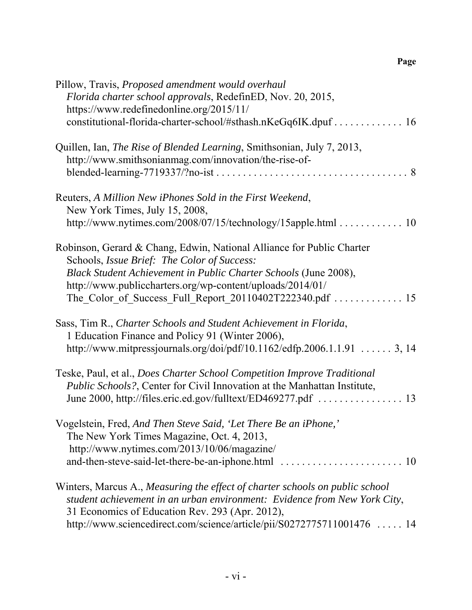| Pillow, Travis, Proposed amendment would overhaul<br>Florida charter school approvals, RedefinED, Nov. 20, 2015,<br>https://www.redefinedonline.org/2015/11/                                                         |
|----------------------------------------------------------------------------------------------------------------------------------------------------------------------------------------------------------------------|
| constitutional-florida-charter-school/#sthash.nKeGq6IK.dpuf  16                                                                                                                                                      |
| Quillen, Ian, The Rise of Blended Learning, Smithsonian, July 7, 2013,<br>http://www.smithsonianmag.com/innovation/the-rise-of-                                                                                      |
| Reuters, A Million New iPhones Sold in the First Weekend,<br>New York Times, July 15, 2008,                                                                                                                          |
| http://www.nytimes.com/2008/07/15/technology/15apple.html 10                                                                                                                                                         |
| Robinson, Gerard & Chang, Edwin, National Alliance for Public Charter<br>Schools, Issue Brief: The Color of Success:<br>Black Student Achievement in Public Charter Schools (June 2008),                             |
| http://www.publiccharters.org/wp-content/uploads/2014/01/                                                                                                                                                            |
| Sass, Tim R., Charter Schools and Student Achievement in Florida,<br>1 Education Finance and Policy 91 (Winter 2006),<br>http://www.mitpressjournals.org/doi/pdf/10.1162/edfp.2006.1.1.91  3, 14                     |
| Teske, Paul, et al., Does Charter School Competition Improve Traditional<br><i>Public Schools?</i> , Center for Civil Innovation at the Manhattan Institute,                                                         |
| Vogelstein, Fred, And Then Steve Said, 'Let There Be an iPhone,'<br>The New York Times Magazine, Oct. 4, 2013,<br>http://www.nytimes.com/2013/10/06/magazine/<br>and-then-steve-said-let-there-be-an-iphone.html  10 |
| Winters, Marcus A., Measuring the effect of charter schools on public school<br>student achievement in an urban environment: Evidence from New York City,<br>31 Economics of Education Rev. 293 (Apr. 2012),         |
| http://www.sciencedirect.com/science/article/pii/S0272775711001476  14                                                                                                                                               |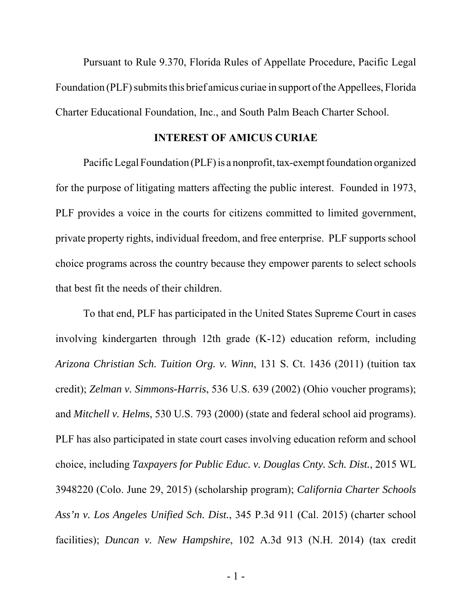Pursuant to Rule 9.370, Florida Rules of Appellate Procedure, Pacific Legal Foundation (PLF) submits this brief amicus curiae in support of the Appellees, Florida Charter Educational Foundation, Inc., and South Palm Beach Charter School.

#### **INTEREST OF AMICUS CURIAE**

Pacific Legal Foundation (PLF) is a nonprofit, tax-exempt foundation organized for the purpose of litigating matters affecting the public interest. Founded in 1973, PLF provides a voice in the courts for citizens committed to limited government, private property rights, individual freedom, and free enterprise. PLF supports school choice programs across the country because they empower parents to select schools that best fit the needs of their children.

To that end, PLF has participated in the United States Supreme Court in cases involving kindergarten through 12th grade (K-12) education reform, including *Arizona Christian Sch. Tuition Org. v. Winn*, 131 S. Ct. 1436 (2011) (tuition tax credit); *Zelman v. Simmons-Harris*, 536 U.S. 639 (2002) (Ohio voucher programs); and *Mitchell v. Helms*, 530 U.S. 793 (2000) (state and federal school aid programs). PLF has also participated in state court cases involving education reform and school choice, including *Taxpayers for Public Educ. v. Douglas Cnty. Sch. Dist.*, 2015 WL 3948220 (Colo. June 29, 2015) (scholarship program); *California Charter Schools Ass'n v. Los Angeles Unified Sch. Dist.*, 345 P.3d 911 (Cal. 2015) (charter school facilities); *Duncan v. New Hampshire*, 102 A.3d 913 (N.H. 2014) (tax credit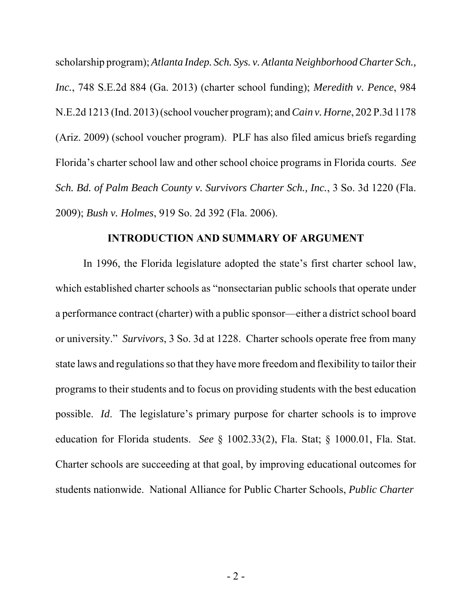scholarship program); *Atlanta Indep. Sch. Sys. v. Atlanta Neighborhood Charter Sch., Inc.*, 748 S.E.2d 884 (Ga. 2013) (charter school funding); *Meredith v. Pence*, 984 N.E.2d 1213 (Ind. 2013) (school voucher program); and *Cain v. Horne*, 202 P.3d 1178 (Ariz. 2009) (school voucher program). PLF has also filed amicus briefs regarding Florida's charter school law and other school choice programs in Florida courts. *See Sch. Bd. of Palm Beach County v. Survivors Charter Sch., Inc.*, 3 So. 3d 1220 (Fla. 2009); *Bush v. Holmes*, 919 So. 2d 392 (Fla. 2006).

#### **INTRODUCTION AND SUMMARY OF ARGUMENT**

In 1996, the Florida legislature adopted the state's first charter school law, which established charter schools as "nonsectarian public schools that operate under a performance contract (charter) with a public sponsor—either a district school board or university." *Survivors*, 3 So. 3d at 1228. Charter schools operate free from many state laws and regulations so that they have more freedom and flexibility to tailor their programs to their students and to focus on providing students with the best education possible. *Id*. The legislature's primary purpose for charter schools is to improve education for Florida students. *See* § 1002.33(2), Fla. Stat; § 1000.01, Fla. Stat. Charter schools are succeeding at that goal, by improving educational outcomes for students nationwide. National Alliance for Public Charter Schools, *Public Charter*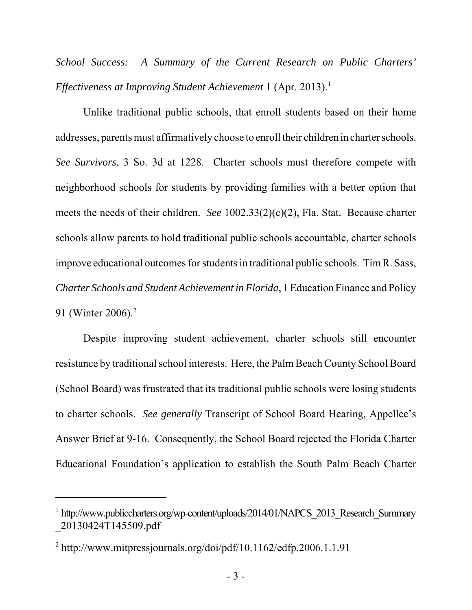*School Success: A Summary of the Current Research on Public Charters' Effectiveness at Improving Student Achievement* 1 (Apr. 2013).<sup>1</sup>

Unlike traditional public schools, that enroll students based on their home addresses, parents must affirmatively choose to enroll their children in charter schools. *See Survivors*, 3 So. 3d at 1228. Charter schools must therefore compete with neighborhood schools for students by providing families with a better option that meets the needs of their children. *See* 1002.33(2)(c)(2), Fla. Stat. Because charter schools allow parents to hold traditional public schools accountable, charter schools improve educational outcomes for students in traditional public schools. Tim R. Sass, *Charter Schools and Student Achievement in Florida*, 1 Education Finance and Policy 91 (Winter 2006).<sup>2</sup>

Despite improving student achievement, charter schools still encounter resistance by traditional school interests. Here, the Palm Beach County School Board (School Board) was frustrated that its traditional public schools were losing students to charter schools. *See generally* Transcript of School Board Hearing, Appellee's Answer Brief at 9-16. Consequently, the School Board rejected the Florida Charter Educational Foundation's application to establish the South Palm Beach Charter

<sup>&</sup>lt;sup>1</sup> http://www.publiccharters.org/wp-content/uploads/2014/01/NAPCS\_2013\_Research\_Summary \_20130424T145509.pdf

<sup>&</sup>lt;sup>2</sup> http://www.mitpressjournals.org/doi/pdf/10.1162/edfp.2006.1.1.91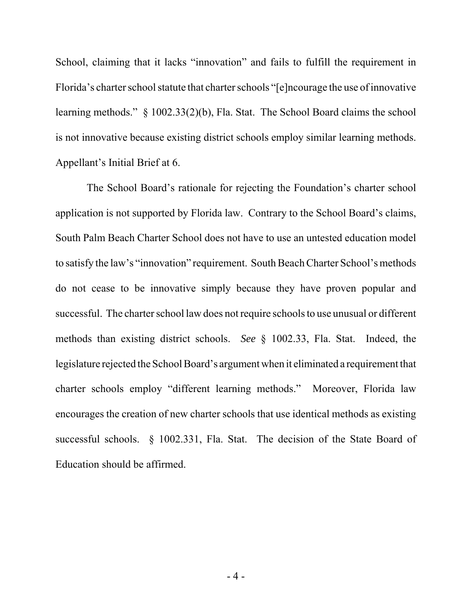School, claiming that it lacks "innovation" and fails to fulfill the requirement in Florida's charter school statute that charter schools "[e]ncourage the use of innovative learning methods." § 1002.33(2)(b), Fla. Stat. The School Board claims the school is not innovative because existing district schools employ similar learning methods. Appellant's Initial Brief at 6.

 The School Board's rationale for rejecting the Foundation's charter school application is not supported by Florida law. Contrary to the School Board's claims, South Palm Beach Charter School does not have to use an untested education model to satisfy the law's "innovation" requirement. South Beach Charter School's methods do not cease to be innovative simply because they have proven popular and successful. The charter school law does not require schools to use unusual or different methods than existing district schools. *See* § 1002.33, Fla. Stat. Indeed, the legislature rejected the School Board's argument when it eliminated a requirement that charter schools employ "different learning methods." Moreover, Florida law encourages the creation of new charter schools that use identical methods as existing successful schools. § 1002.331, Fla. Stat. The decision of the State Board of Education should be affirmed.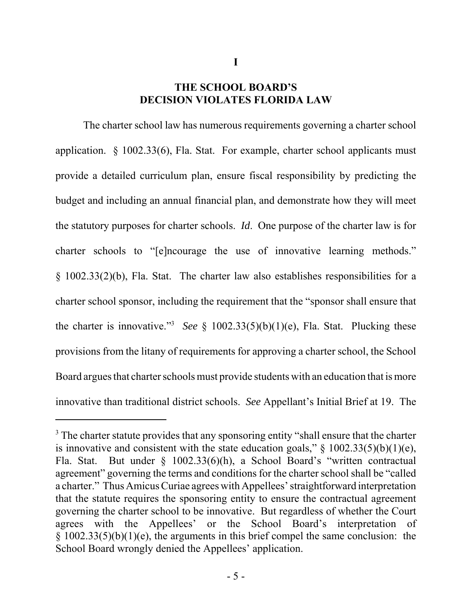### **THE SCHOOL BOARD'S DECISION VIOLATES FLORIDA LAW**

**I**

The charter school law has numerous requirements governing a charter school application. § 1002.33(6), Fla. Stat. For example, charter school applicants must provide a detailed curriculum plan, ensure fiscal responsibility by predicting the budget and including an annual financial plan, and demonstrate how they will meet the statutory purposes for charter schools. *Id*. One purpose of the charter law is for charter schools to "[e]ncourage the use of innovative learning methods." § 1002.33(2)(b), Fla. Stat. The charter law also establishes responsibilities for a charter school sponsor, including the requirement that the "sponsor shall ensure that the charter is innovative."<sup>3</sup> See § 1002.33(5)(b)(1)(e), Fla. Stat. Plucking these provisions from the litany of requirements for approving a charter school, the School Board argues that charter schools must provide students with an education that is more innovative than traditional district schools. *See* Appellant's Initial Brief at 19. The

<sup>&</sup>lt;sup>3</sup> The charter statute provides that any sponsoring entity "shall ensure that the charter is innovative and consistent with the state education goals,"  $\S$  1002.33(5)(b)(1)(e), Fla. Stat. But under § 1002.33(6)(h), a School Board's "written contractual agreement" governing the terms and conditions for the charter school shall be "called a charter." Thus Amicus Curiae agrees with Appellees' straightforward interpretation that the statute requires the sponsoring entity to ensure the contractual agreement governing the charter school to be innovative. But regardless of whether the Court agrees with the Appellees' or the School Board's interpretation of  $§ 1002.33(5)(b)(1)(e)$ , the arguments in this brief compel the same conclusion: the School Board wrongly denied the Appellees' application.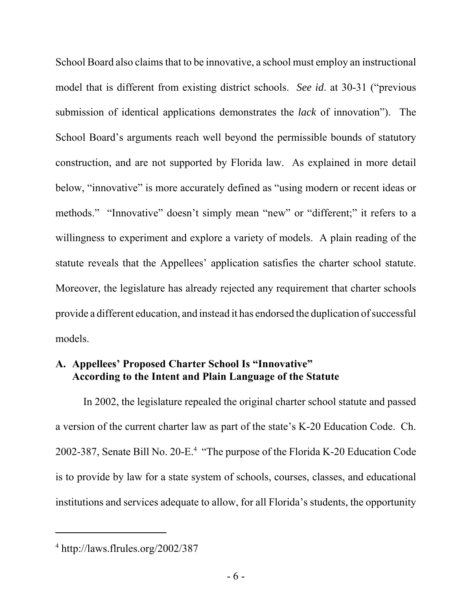School Board also claims that to be innovative, a school must employ an instructional model that is different from existing district schools. *See id*. at 30-31 ("previous submission of identical applications demonstrates the *lack* of innovation"). The School Board's arguments reach well beyond the permissible bounds of statutory construction, and are not supported by Florida law. As explained in more detail below, "innovative" is more accurately defined as "using modern or recent ideas or methods." "Innovative" doesn't simply mean "new" or "different;" it refers to a willingness to experiment and explore a variety of models. A plain reading of the statute reveals that the Appellees' application satisfies the charter school statute. Moreover, the legislature has already rejected any requirement that charter schools provide a different education, and instead it has endorsed the duplication of successful models.

## **A. Appellees' Proposed Charter School Is "Innovative" According to the Intent and Plain Language of the Statute**

In 2002, the legislature repealed the original charter school statute and passed a version of the current charter law as part of the state's K-20 Education Code. Ch. 2002-387, Senate Bill No. 20-E.<sup>4</sup> "The purpose of the Florida K-20 Education Code is to provide by law for a state system of schools, courses, classes, and educational institutions and services adequate to allow, for all Florida's students, the opportunity

<sup>4</sup> http://laws.flrules.org/2002/387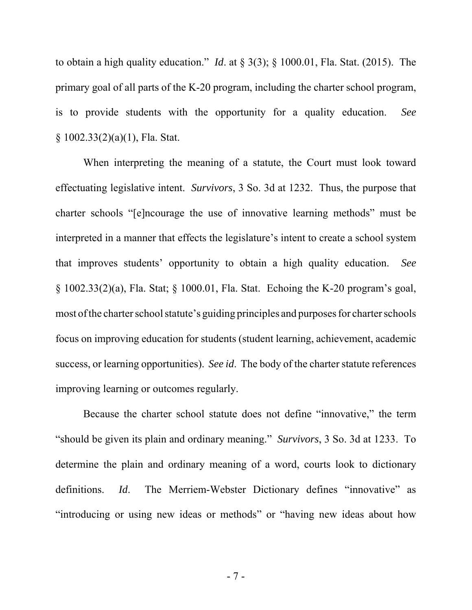to obtain a high quality education." *Id*. at § 3(3); § 1000.01, Fla. Stat. (2015). The primary goal of all parts of the K-20 program, including the charter school program, is to provide students with the opportunity for a quality education. *See* § 1002.33(2)(a)(1), Fla. Stat.

When interpreting the meaning of a statute, the Court must look toward effectuating legislative intent. *Survivors*, 3 So. 3d at 1232. Thus, the purpose that charter schools "[e]ncourage the use of innovative learning methods" must be interpreted in a manner that effects the legislature's intent to create a school system that improves students' opportunity to obtain a high quality education. *See* § 1002.33(2)(a), Fla. Stat; § 1000.01, Fla. Stat. Echoing the K-20 program's goal, most of the charter school statute's guiding principles and purposes for charter schools focus on improving education for students (student learning, achievement, academic success, or learning opportunities). *See id*. The body of the charter statute references improving learning or outcomes regularly.

Because the charter school statute does not define "innovative," the term "should be given its plain and ordinary meaning." *Survivors*, 3 So. 3d at 1233. To determine the plain and ordinary meaning of a word, courts look to dictionary definitions. *Id*. The Merriem-Webster Dictionary defines "innovative" as "introducing or using new ideas or methods" or "having new ideas about how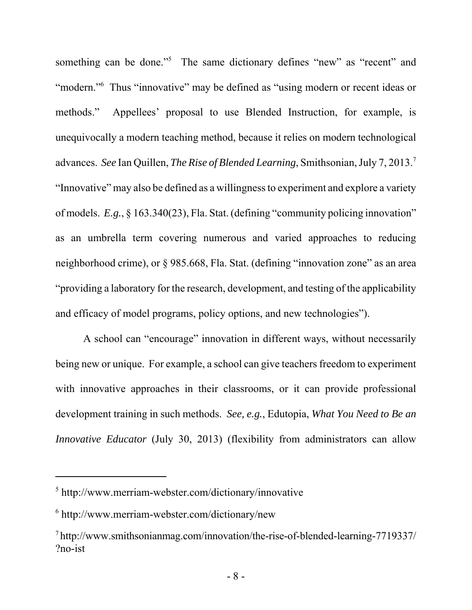something can be done."<sup>5</sup> The same dictionary defines "new" as "recent" and "modern."<sup>6</sup> Thus "innovative" may be defined as "using modern or recent ideas or methods." Appellees' proposal to use Blended Instruction, for example, is unequivocally a modern teaching method, because it relies on modern technological advances. *See* Ian Quillen, *The Rise of Blended Learning*, Smithsonian, July 7, 2013.7 "Innovative" may also be defined as a willingness to experiment and explore a variety of models. *E.g.*, § 163.340(23), Fla. Stat. (defining "community policing innovation" as an umbrella term covering numerous and varied approaches to reducing neighborhood crime), or § 985.668, Fla. Stat. (defining "innovation zone" as an area "providing a laboratory for the research, development, and testing of the applicability and efficacy of model programs, policy options, and new technologies").

A school can "encourage" innovation in different ways, without necessarily being new or unique. For example, a school can give teachers freedom to experiment with innovative approaches in their classrooms, or it can provide professional development training in such methods. *See, e.g.*, Edutopia, *What You Need to Be an Innovative Educator* (July 30, 2013) (flexibility from administrators can allow

<sup>5</sup> http://www.merriam-webster.com/dictionary/innovative

<sup>6</sup> http://www.merriam-webster.com/dictionary/new

<sup>7</sup> http://www.smithsonianmag.com/innovation/the-rise-of-blended-learning-7719337/ ?no-ist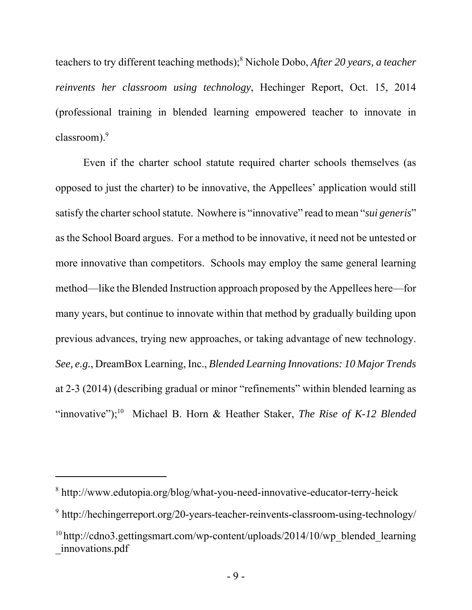teachers to try different teaching methods);8 Nichole Dobo, *After 20 years, a teacher reinvents her classroom using technology*, Hechinger Report, Oct. 15, 2014 (professional training in blended learning empowered teacher to innovate in classroom).<sup>9</sup>

Even if the charter school statute required charter schools themselves (as opposed to just the charter) to be innovative, the Appellees' application would still satisfy the charter school statute. Nowhere is "innovative" read to mean "*sui generis*" as the School Board argues. For a method to be innovative, it need not be untested or more innovative than competitors. Schools may employ the same general learning method—like the Blended Instruction approach proposed by the Appellees here—for many years, but continue to innovate within that method by gradually building upon previous advances, trying new approaches, or taking advantage of new technology. *See, e.g.*, DreamBox Learning, Inc., *Blended Learning Innovations: 10 Major Trends* at 2-3 (2014) (describing gradual or minor "refinements" within blended learning as "innovative");<sup>10</sup> Michael B. Horn & Heather Staker, *The Rise of K-12 Blended* 

<sup>8</sup> http://www.edutopia.org/blog/what-you-need-innovative-educator-terry-heick

<sup>&</sup>lt;sup>9</sup> http://hechingerreport.org/20-years-teacher-reinvents-classroom-using-technology/

<sup>&</sup>lt;sup>10</sup> http://cdno3.gettingsmart.com/wp-content/uploads/2014/10/wp\_blended\_learning \_innovations.pdf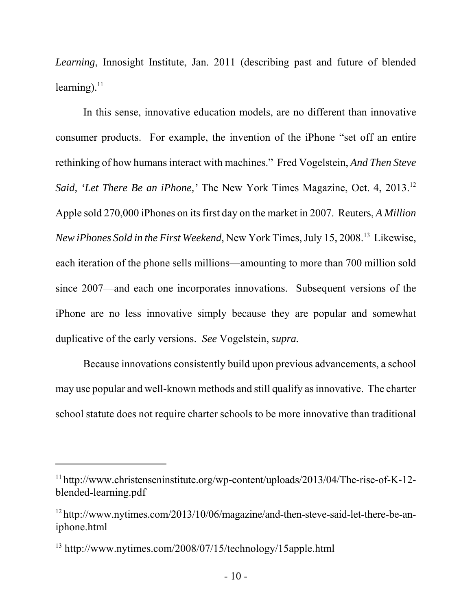*Learning*, Innosight Institute, Jan. 2011 (describing past and future of blended learning). $^{11}$ 

In this sense, innovative education models, are no different than innovative consumer products. For example, the invention of the iPhone "set off an entire rethinking of how humans interact with machines." Fred Vogelstein, *And Then Steve Said, 'Let There Be an iPhone,'* The New York Times Magazine, Oct. 4, 2013.<sup>12</sup> Apple sold 270,000 iPhones on its first day on the market in 2007. Reuters, *A Million New iPhones Sold in the First Weekend*, New York Times, July 15, 2008.<sup>13</sup> Likewise, each iteration of the phone sells millions—amounting to more than 700 million sold since 2007—and each one incorporates innovations. Subsequent versions of the iPhone are no less innovative simply because they are popular and somewhat duplicative of the early versions. *See* Vogelstein, *supra.*

Because innovations consistently build upon previous advancements, a school may use popular and well-known methods and still qualify as innovative. The charter school statute does not require charter schools to be more innovative than traditional

<sup>11</sup> http://www.christenseninstitute.org/wp-content/uploads/2013/04/The-rise-of-K-12 blended-learning.pdf

<sup>&</sup>lt;sup>12</sup> http://www.nytimes.com/2013/10/06/magazine/and-then-steve-said-let-there-be-aniphone.html

<sup>13</sup> http://www.nytimes.com/2008/07/15/technology/15apple.html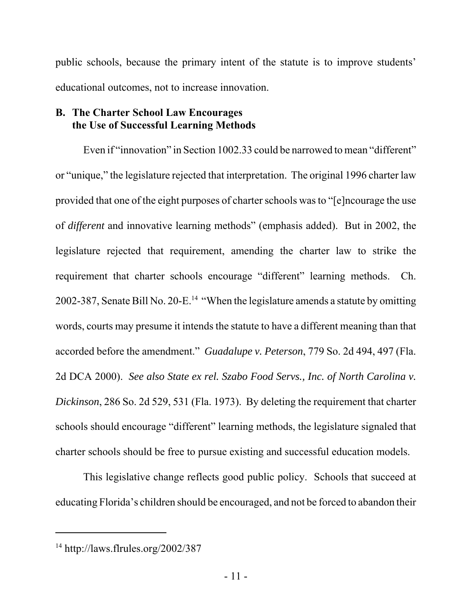public schools, because the primary intent of the statute is to improve students' educational outcomes, not to increase innovation.

### **B. The Charter School Law Encourages the Use of Successful Learning Methods**

Even if "innovation" in Section 1002.33 could be narrowed to mean "different" or "unique," the legislature rejected that interpretation. The original 1996 charter law provided that one of the eight purposes of charter schools was to "[e]ncourage the use of *different* and innovative learning methods" (emphasis added). But in 2002, the legislature rejected that requirement, amending the charter law to strike the requirement that charter schools encourage "different" learning methods. Ch. 2002-387, Senate Bill No. 20-E.<sup>14</sup> "When the legislature amends a statute by omitting words, courts may presume it intends the statute to have a different meaning than that accorded before the amendment." *Guadalupe v. Peterson*, 779 So. 2d 494, 497 (Fla. 2d DCA 2000). *See also State ex rel. Szabo Food Servs., Inc. of North Carolina v. Dickinson*, 286 So. 2d 529, 531 (Fla. 1973). By deleting the requirement that charter schools should encourage "different" learning methods, the legislature signaled that charter schools should be free to pursue existing and successful education models.

This legislative change reflects good public policy. Schools that succeed at educating Florida's children should be encouraged, and not be forced to abandon their

 $14 \text{ http://laws.flrules.org/2002/387}$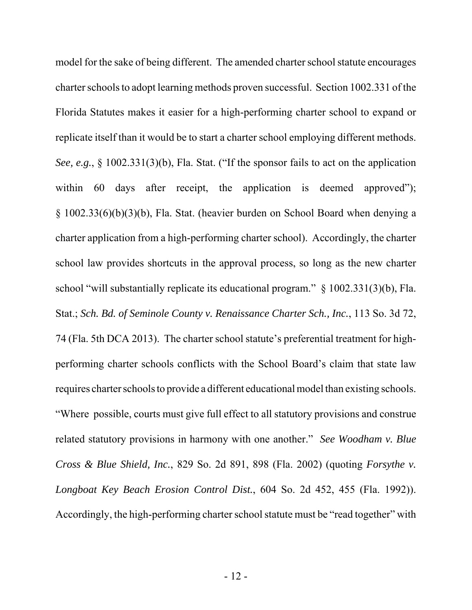model for the sake of being different. The amended charter school statute encourages charter schools to adopt learning methods proven successful. Section 1002.331 of the Florida Statutes makes it easier for a high-performing charter school to expand or replicate itself than it would be to start a charter school employing different methods. *See, e.g.*, § 1002.331(3)(b), Fla. Stat. ("If the sponsor fails to act on the application within 60 days after receipt, the application is deemed approved"); § 1002.33(6)(b)(3)(b), Fla. Stat. (heavier burden on School Board when denying a charter application from a high-performing charter school). Accordingly, the charter school law provides shortcuts in the approval process, so long as the new charter school "will substantially replicate its educational program." § 1002.331(3)(b), Fla. Stat.; *Sch. Bd. of Seminole County v. Renaissance Charter Sch., Inc.*, 113 So. 3d 72, 74 (Fla. 5th DCA 2013). The charter school statute's preferential treatment for highperforming charter schools conflicts with the School Board's claim that state law requires charter schools to provide a different educational model than existing schools. "Where possible, courts must give full effect to all statutory provisions and construe related statutory provisions in harmony with one another." *See Woodham v. Blue Cross & Blue Shield, Inc.*, 829 So. 2d 891, 898 (Fla. 2002) (quoting *Forsythe v. Longboat Key Beach Erosion Control Dist.*, 604 So. 2d 452, 455 (Fla. 1992)). Accordingly, the high-performing charter school statute must be "read together" with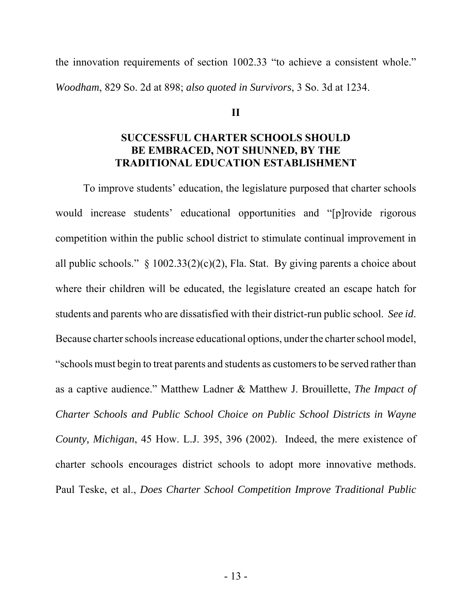the innovation requirements of section 1002.33 "to achieve a consistent whole." *Woodham*, 829 So. 2d at 898; *also quoted in Survivors*, 3 So. 3d at 1234.

#### **II**

### **SUCCESSFUL CHARTER SCHOOLS SHOULD BE EMBRACED, NOT SHUNNED, BY THE TRADITIONAL EDUCATION ESTABLISHMENT**

To improve students' education, the legislature purposed that charter schools would increase students' educational opportunities and "[p]rovide rigorous competition within the public school district to stimulate continual improvement in all public schools."  $\S$  1002.33(2)(c)(2), Fla. Stat. By giving parents a choice about where their children will be educated, the legislature created an escape hatch for students and parents who are dissatisfied with their district-run public school. *See id*. Because charter schools increase educational options, under the charter school model, "schools must begin to treat parents and students as customers to be served rather than as a captive audience." Matthew Ladner & Matthew J. Brouillette, *The Impact of Charter Schools and Public School Choice on Public School Districts in Wayne County, Michigan*, 45 How. L.J. 395, 396 (2002). Indeed, the mere existence of charter schools encourages district schools to adopt more innovative methods. Paul Teske, et al., *Does Charter School Competition Improve Traditional Public*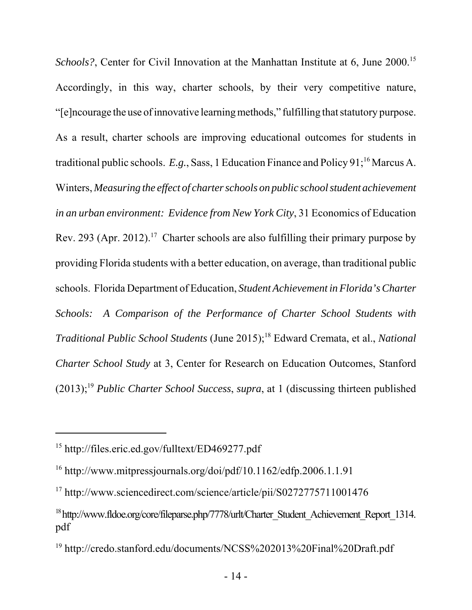*Schools?*, Center for Civil Innovation at the Manhattan Institute at 6, June 2000.<sup>15</sup> Accordingly, in this way, charter schools, by their very competitive nature, "[e]ncourage the use of innovative learning methods," fulfilling that statutory purpose. As a result, charter schools are improving educational outcomes for students in traditional public schools. *E.g.*, Sass, 1 Education Finance and Policy 91;<sup>16</sup> Marcus A. Winters, *Measuring the effect of charter schools on public school student achievement in an urban environment: Evidence from New York City*, 31 Economics of Education Rev. 293 (Apr. 2012).<sup>17</sup> Charter schools are also fulfilling their primary purpose by providing Florida students with a better education, on average, than traditional public schools. Florida Department of Education, *Student Achievement in Florida's Charter Schools: A Comparison of the Performance of Charter School Students with Traditional Public School Students* (June 2015);<sup>18</sup> Edward Cremata, et al., *National Charter School Study* at 3, Center for Research on Education Outcomes, Stanford (2013);19 *Public Charter School Success*, *supra*, at 1 (discussing thirteen published

<sup>15</sup> http://files.eric.ed.gov/fulltext/ED469277.pdf

<sup>16</sup> http://www.mitpressjournals.org/doi/pdf/10.1162/edfp.2006.1.1.91

<sup>17</sup> http://www.sciencedirect.com/science/article/pii/S0272775711001476

<sup>&</sup>lt;sup>18</sup> http://www.fldoe.org/core/fileparse.php/7778/urlt/Charter\_Student\_Achievement\_Report\_1314. pdf

<sup>19</sup> http://credo.stanford.edu/documents/NCSS%202013%20Final%20Draft.pdf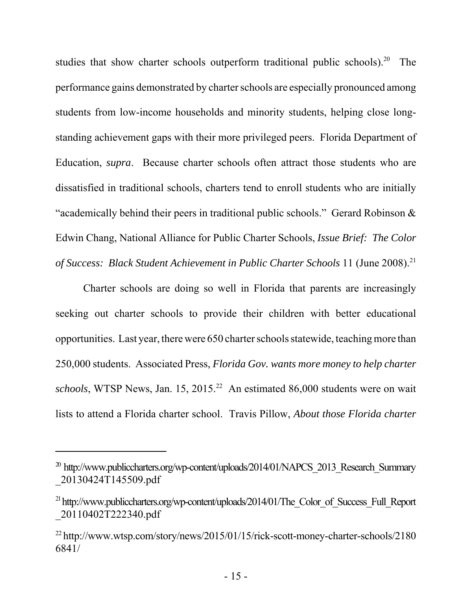studies that show charter schools outperform traditional public schools).<sup>20</sup> The performance gains demonstrated by charter schools are especially pronounced among students from low-income households and minority students, helping close longstanding achievement gaps with their more privileged peers. Florida Department of Education, *supra*. Because charter schools often attract those students who are dissatisfied in traditional schools, charters tend to enroll students who are initially "academically behind their peers in traditional public schools." Gerard Robinson & Edwin Chang, National Alliance for Public Charter Schools, *Issue Brief: The Color of Success: Black Student Achievement in Public Charter Schools* 11 (June 2008).<sup>21</sup>

Charter schools are doing so well in Florida that parents are increasingly seeking out charter schools to provide their children with better educational opportunities. Last year, there were 650 charter schools statewide, teaching more than 250,000 students. Associated Press, *Florida Gov. wants more money to help charter* schools, WTSP News, Jan. 15, 2015.<sup>22</sup> An estimated 86,000 students were on wait lists to attend a Florida charter school. Travis Pillow, *About those Florida charter*

 $^{20}$  http://www.publiccharters.org/wp-content/uploads/2014/01/NAPCS 2013 Research Summary \_20130424T145509.pdf

<sup>&</sup>lt;sup>21</sup> http://www.publiccharters.org/wp-content/uploads/2014/01/The\_Color\_of\_Success\_Full\_Report \_20110402T222340.pdf

<sup>22</sup> http://www.wtsp.com/story/news/2015/01/15/rick-scott-money-charter-schools/2180 6841/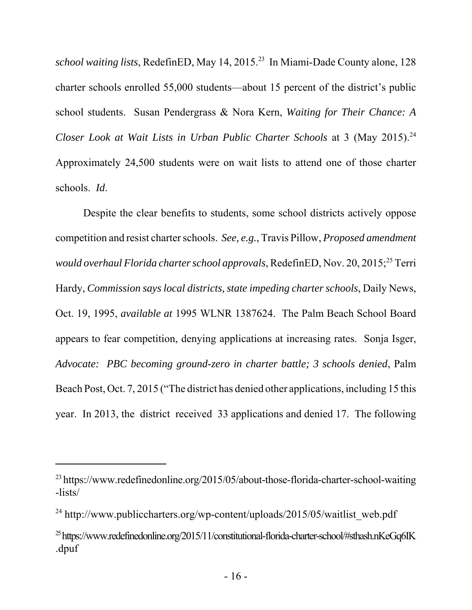*school waiting lists*, RedefinED, May 14, 2015.23 In Miami-Dade County alone, 128 charter schools enrolled 55,000 students—about 15 percent of the district's public school students. Susan Pendergrass & Nora Kern, *Waiting for Their Chance: A Closer Look at Wait Lists in Urban Public Charter Schools* at 3 (May 2015).<sup>24</sup> Approximately 24,500 students were on wait lists to attend one of those charter schools. *Id*.

Despite the clear benefits to students, some school districts actively oppose competition and resist charter schools. *See, e.g.*, Travis Pillow, *Proposed amendment would overhaul Florida charter school approvals*, RedefinED, Nov. 20, 2015;<sup>25</sup> Terri Hardy, *Commission says local districts, state impeding charter schools*, Daily News, Oct. 19, 1995, *available at* 1995 WLNR 1387624. The Palm Beach School Board appears to fear competition, denying applications at increasing rates. Sonja Isger, *Advocate: PBC becoming ground-zero in charter battle; 3 schools denied*, Palm Beach Post, Oct. 7, 2015 ("The district has denied other applications, including 15 this year. In 2013, the district received 33 applications and denied 17. The following

<sup>&</sup>lt;sup>23</sup> https://www.redefinedonline.org/2015/05/about-those-florida-charter-school-waiting -lists/

<sup>&</sup>lt;sup>24</sup> http://www.publiccharters.org/wp-content/uploads/2015/05/waitlist\_web.pdf

 $^{25}$ https://www.redefinedonline.org/2015/11/constitutional-florida-charter-school/#sthash.nKeGq6IK .dpuf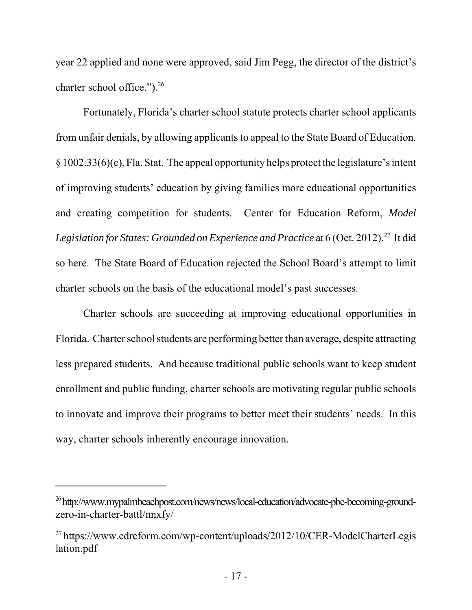year 22 applied and none were approved, said Jim Pegg, the director of the district's charter school office.").<sup>26</sup>

Fortunately, Florida's charter school statute protects charter school applicants from unfair denials, by allowing applicants to appeal to the State Board of Education. § 1002.33(6)(c), Fla. Stat. The appeal opportunity helps protect the legislature's intent of improving students' education by giving families more educational opportunities and creating competition for students. Center for Education Reform, *Model* Legislation for States: Grounded on Experience and Practice at 6 (Oct. 2012).<sup>27</sup> It did so here. The State Board of Education rejected the School Board's attempt to limit charter schools on the basis of the educational model's past successes.

Charter schools are succeeding at improving educational opportunities in Florida. Charter school students are performing better than average, despite attracting less prepared students. And because traditional public schools want to keep student enrollment and public funding, charter schools are motivating regular public schools to innovate and improve their programs to better meet their students' needs. In this way, charter schools inherently encourage innovation.

<sup>&</sup>lt;sup>26</sup> http://www.mypalmbeachpost.com/news/news/local-education/advocate-pbc-becoming-groundzero-in-charter-battl/nnxfy/

<sup>27</sup> https://www.edreform.com/wp-content/uploads/2012/10/CER-ModelCharterLegis lation.pdf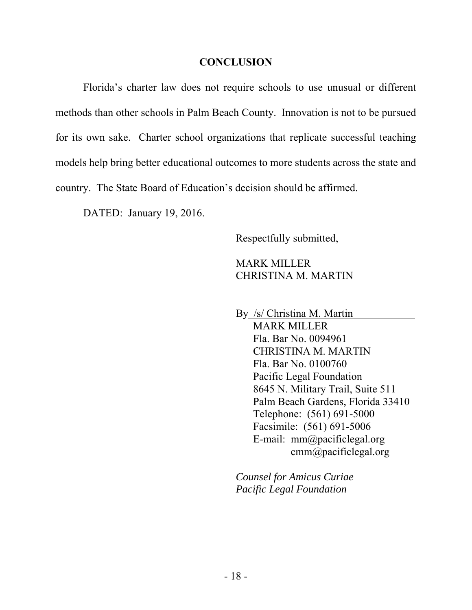#### **CONCLUSION**

Florida's charter law does not require schools to use unusual or different methods than other schools in Palm Beach County. Innovation is not to be pursued for its own sake. Charter school organizations that replicate successful teaching models help bring better educational outcomes to more students across the state and country. The State Board of Education's decision should be affirmed.

DATED: January 19, 2016.

Respectfully submitted,

### MARK MILLER CHRISTINA M. MARTIN

By /s/ Christina M. Martin MARK MILLER Fla. Bar No. 0094961 CHRISTINA M. MARTIN Fla. Bar No. 0100760 Pacific Legal Foundation 8645 N. Military Trail, Suite 511 Palm Beach Gardens, Florida 33410 Telephone: (561) 691-5000 Facsimile: (561) 691-5006 E-mail: mm@pacificlegal.org cmm@pacificlegal.org

*Counsel for Amicus Curiae Pacific Legal Foundation*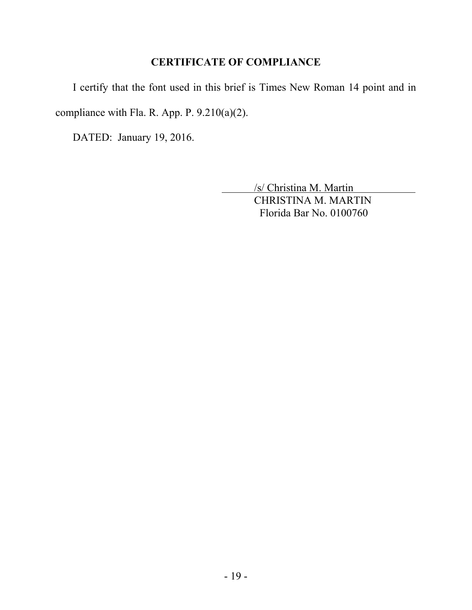## **CERTIFICATE OF COMPLIANCE**

I certify that the font used in this brief is Times New Roman 14 point and in compliance with Fla. R. App. P. 9.210(a)(2).

DATED: January 19, 2016.

 /s/ Christina M. Martin CHRISTINA M. MARTIN Florida Bar No. 0100760